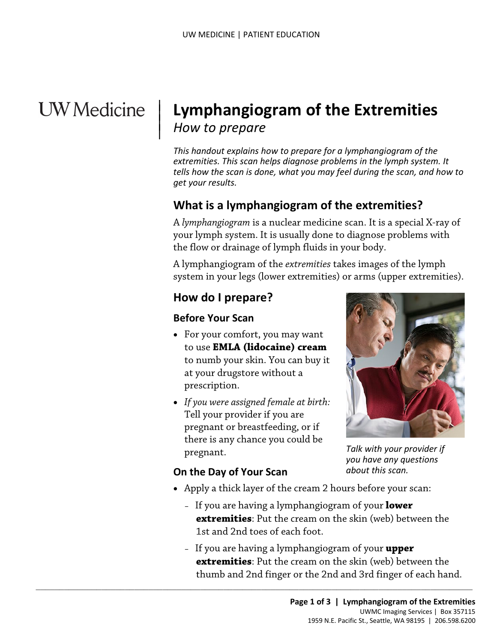# **UW** Medicine

|

# <sup>|</sup>**Lymphangiogram of the Extremities** | | *How to prepare*

*This handout explains how to prepare for a lymphangiogram of the extremities. This scan helps diagnose problems in the lymph system. It tells how the scan is done, what you may feel during the scan, and how to get your results.* 

## **What is a lymphangiogram of the extremities?**

 A *lymphangiogram* is a nuclear medicine scan. It is a special X-ray of your lymph system. It is usually done to diagnose problems with the flow or drainage of lymph fluids in your body.

A lymphangiogram of the *extremities* takes images of the lymph system in your legs (lower extremities) or arms (upper extremities).

#### **How do I prepare?**

#### **Before Your Scan**

- • For your comfort, you may want to use **EMLA (lidocaine) cream**  to numb your skin. You can buy it at your drugstore without a prescription.
- *If you were assigned female at birth:*  Tell your provider if you are pregnant or breastfeeding, or if there is any chance you could be pregnant.

 $\_$  , and the set of the set of the set of the set of the set of the set of the set of the set of the set of the set of the set of the set of the set of the set of the set of the set of the set of the set of the set of th



*you have any questions about this scan.* 

#### **On the Day of Your Scan**

- • Apply a thick layer of the cream 2 hours before your scan:
	- If you are having a lymphangiogram of your **lower extremities**: Put the cream on the skin (web) between the 1st and 2nd toes of each foot.
- thumb and 2nd finger or the 2nd and 3rd finger of each hand. – If you are having a lymphangiogram of your **upper extremities**: Put the cream on the skin (web) between the regnant.<br> **Talk with your provider if**<br> **Thumb and 2nd find and 2nd to the cream 2 hours before your scan:**<br> **If you are having a lymphangiogram of your lower<br>
<b>extremities:** Put the cream on the skin (web) between the<br>
1s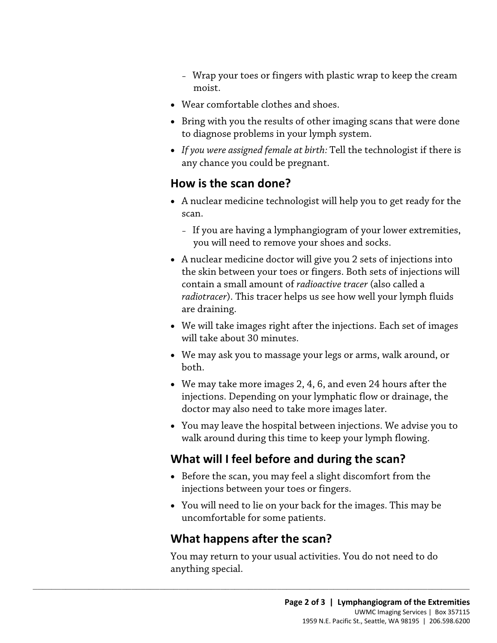- Wrap your toes or fingers with plastic wrap to keep the cream moist.
- Wear comfortable clothes and shoes.
- • Bring with you the results of other imaging scans that were done to diagnose problems in your lymph system.
- *If you were assigned female at birth:* Tell the technologist if there is any chance you could be pregnant.

#### **How is the scan done?**

- A nuclear medicine technologist will help you to get ready for the scan.
	- If you are having a lymphangiogram of your lower extremities, you will need to remove your shoes and socks.
- *radiotracer*). This tracer helps us see how well your lymph fluids • A nuclear medicine doctor will give you 2 sets of injections into the skin between your toes or fingers. Both sets of injections will contain a small amount of *radioactive tracer* (also called a are draining.
- We will take images right after the injections. Each set of images will take about 30 minutes.
- • We may ask you to massage your legs or arms, walk around, or both.
- • We may take more images 2, 4, 6, and even 24 hours after the doctor may also need to take more images later. injections. Depending on your lymphatic flow or drainage, the
- You may leave the hospital between injections. We advise you to walk around during this time to keep your lymph flowing.

# **What will I feel before and during the scan?**

- injections between your toes or fingers. • Before the scan, you may feel a slight discomfort from the
- You will need to lie on your back for the images. This may be uncomfortable for some patients.

#### **What happens after the scan?**

 $\_$  ,  $\_$  ,  $\_$  ,  $\_$  ,  $\_$  ,  $\_$  ,  $\_$  ,  $\_$  ,  $\_$  ,  $\_$  ,  $\_$  ,  $\_$  ,  $\_$  ,  $\_$  ,  $\_$  ,  $\_$  ,  $\_$  ,  $\_$  ,  $\_$  ,  $\_$  ,  $\_$  ,  $\_$  ,  $\_$  ,  $\_$  ,  $\_$  ,  $\_$  ,  $\_$  ,  $\_$  ,  $\_$  ,  $\_$  ,  $\_$  ,  $\_$  ,  $\_$  ,  $\_$  ,  $\_$  ,  $\_$  ,  $\_$  ,

You may return to your usual activities. You do not need to do anything special.